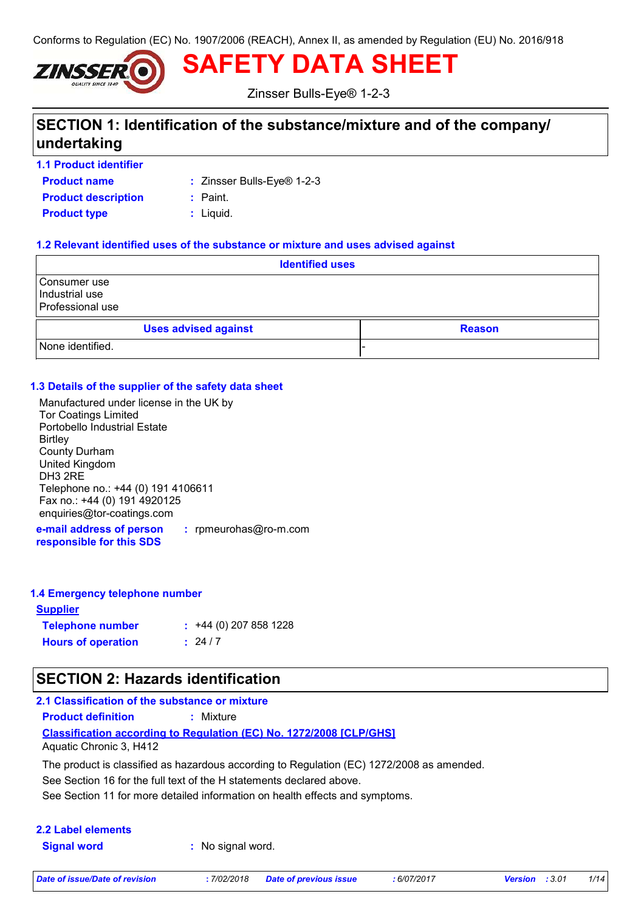Conforms to Regulation (EC) No. 1907/2006 (REACH), Annex II, as amended by Regulation (EU) No. 2016/918



**SAFETY DATA SHEET**

Zinsser Bulls-Eye® 1-2-3

## **SECTION 1: Identification of the substance/mixture and of the company/ undertaking**

**1.1 Product identifier**

**Product name**

Zinsser Bulls-Eye® 1-2-3 **:**

**Product description :** Paint.

**Product type**  $\qquad$ **:** Liquid.

#### **1.2 Relevant identified uses of the substance or mixture and uses advised against**

| <b>Identified uses</b>                             |                             |  |               |
|----------------------------------------------------|-----------------------------|--|---------------|
| Consumer use<br>Industrial use<br>Professional use |                             |  |               |
|                                                    | <b>Uses advised against</b> |  | <b>Reason</b> |
| None identified.                                   |                             |  |               |

#### **1.3 Details of the supplier of the safety data sheet**

Manufactured under license in the UK by Tor Coatings Limited Portobello Industrial Estate **Birtley** County Durham United Kingdom DH3 2RE Telephone no.: +44 (0) 191 4106611 Fax no.: +44 (0) 191 4920125 enquiries@tor-coatings.com

**e-mail address of person responsible for this SDS :** rpmeurohas@ro-m.com

#### **1.4 Emergency telephone number**

| <b>Supplier</b>           |                         |
|---------------------------|-------------------------|
| <b>Telephone number</b>   | $: +44(0)$ 207 858 1228 |
| <b>Hours of operation</b> | : 24/7                  |

### **SECTION 2: Hazards identification**

| 2.1 Classification of the substance or mixture |                                                                                           |
|------------------------------------------------|-------------------------------------------------------------------------------------------|
| <b>Product definition</b>                      | : Mixture                                                                                 |
| Aquatic Chronic 3. H412                        | <b>Classification according to Regulation (EC) No. 1272/2008 [CLP/GHS]</b>                |
|                                                | The product is classified as hazardous according to Regulation (EC) 1272/2008 as amended. |

See Section 16 for the full text of the H statements declared above.

See Section 11 for more detailed information on health effects and symptoms.

# **2.2 Label elements**

**Signal word :** No signal word.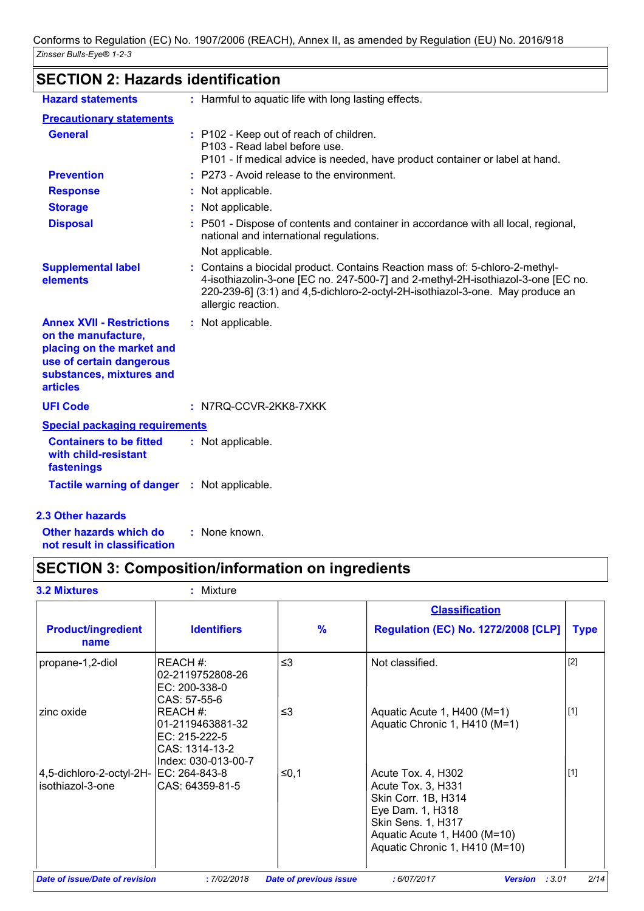# **SECTION 2: Hazards identification**

| <b>Hazard statements</b>                                                                                                                                        | : Harmful to aquatic life with long lasting effects.                                                                                                                                                                                                                  |
|-----------------------------------------------------------------------------------------------------------------------------------------------------------------|-----------------------------------------------------------------------------------------------------------------------------------------------------------------------------------------------------------------------------------------------------------------------|
| <b>Precautionary statements</b>                                                                                                                                 |                                                                                                                                                                                                                                                                       |
| <b>General</b>                                                                                                                                                  | : P102 - Keep out of reach of children.<br>P103 - Read label before use.<br>P101 - If medical advice is needed, have product container or label at hand.                                                                                                              |
| <b>Prevention</b>                                                                                                                                               | : P273 - Avoid release to the environment.                                                                                                                                                                                                                            |
| <b>Response</b>                                                                                                                                                 | : Not applicable.                                                                                                                                                                                                                                                     |
| <b>Storage</b>                                                                                                                                                  | : Not applicable.                                                                                                                                                                                                                                                     |
| <b>Disposal</b>                                                                                                                                                 | : P501 - Dispose of contents and container in accordance with all local, regional,<br>national and international regulations.                                                                                                                                         |
|                                                                                                                                                                 | Not applicable.                                                                                                                                                                                                                                                       |
| <b>Supplemental label</b><br>elements                                                                                                                           | Contains a biocidal product. Contains Reaction mass of: 5-chloro-2-methyl-<br>4-isothiazolin-3-one [EC no. 247-500-7] and 2-methyl-2H-isothiazol-3-one [EC no.<br>220-239-6] (3:1) and 4,5-dichloro-2-octyl-2H-isothiazol-3-one. May produce an<br>allergic reaction. |
| <b>Annex XVII - Restrictions</b><br>on the manufacture,<br>placing on the market and<br>use of certain dangerous<br>substances, mixtures and<br><b>articles</b> | : Not applicable.                                                                                                                                                                                                                                                     |
| <b>UFI Code</b>                                                                                                                                                 | $:$ N7RQ-CCVR-2KK8-7XKK                                                                                                                                                                                                                                               |
| <b>Special packaging requirements</b>                                                                                                                           |                                                                                                                                                                                                                                                                       |
| <b>Containers to be fitted</b><br>with child-resistant<br>fastenings                                                                                            | : Not applicable.                                                                                                                                                                                                                                                     |
| <b>Tactile warning of danger : Not applicable.</b>                                                                                                              |                                                                                                                                                                                                                                                                       |
| <b>2.3 Other hazards</b>                                                                                                                                        |                                                                                                                                                                                                                                                                       |
| Other hazards which do                                                                                                                                          | : None known.                                                                                                                                                                                                                                                         |

# **not result in classification**

# **SECTION 3: Composition/information on ingredients**

|                                                            |                                                                                       |               | <b>Classification</b>                                                                                                                                                       |             |
|------------------------------------------------------------|---------------------------------------------------------------------------------------|---------------|-----------------------------------------------------------------------------------------------------------------------------------------------------------------------------|-------------|
| <b>Product/ingredient</b><br>name                          | <b>Identifiers</b>                                                                    | $\frac{9}{6}$ | <b>Regulation (EC) No. 1272/2008 [CLP]</b>                                                                                                                                  | <b>Type</b> |
| propane-1,2-diol                                           | REACH #:<br>02-2119752808-26<br>EC: 200-338-0<br>CAS: 57-55-6                         | $\leq$ 3      | Not classified.                                                                                                                                                             | $[2]$       |
| zinc oxide                                                 | REACH#:<br>01-2119463881-32<br>EC: 215-222-5<br>CAS: 1314-13-2<br>Index: 030-013-00-7 | $\leq$ 3      | Aquatic Acute 1, H400 (M=1)<br>Aquatic Chronic 1, H410 (M=1)                                                                                                                | $[1]$       |
| 4,5-dichloro-2-octyl-2H- EC: 264-843-8<br>isothiazol-3-one | CAS: 64359-81-5                                                                       | ≤0,1          | Acute Tox. 4, H302<br>Acute Tox. 3, H331<br>Skin Corr. 1B, H314<br>Eye Dam. 1, H318<br>Skin Sens. 1, H317<br>Aquatic Acute 1, H400 (M=10)<br>Aquatic Chronic 1, H410 (M=10) | $[1]$       |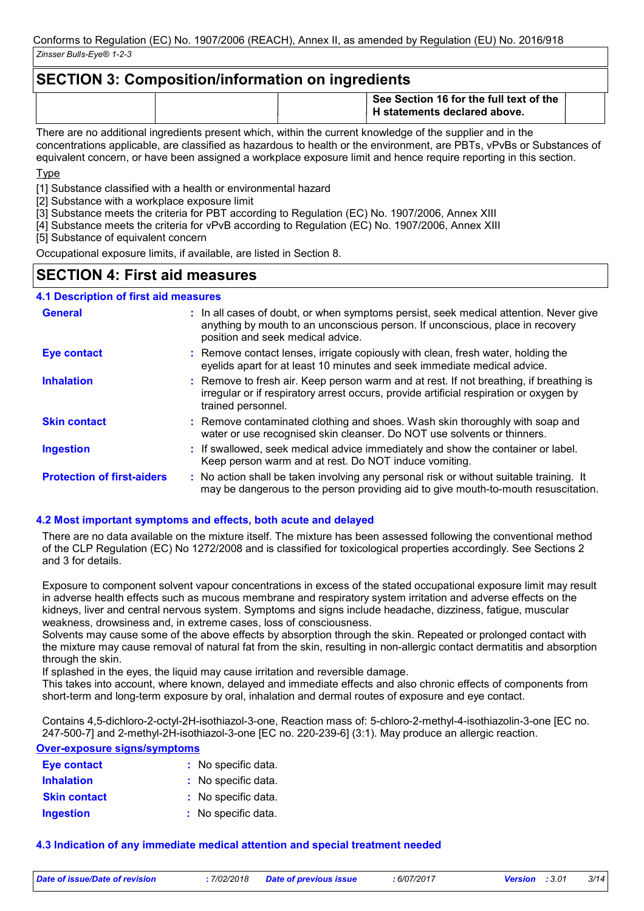### **SECTION 3: Composition/information on ingredients**

|                                                                                                                  |  | See Section 16 for the full text of the<br>H statements declared above. |  |
|------------------------------------------------------------------------------------------------------------------|--|-------------------------------------------------------------------------|--|
| موله وزامهم ومزاوماتهم والمقام ومواجبهما الموسين ومطلوباتين وامتوان لموموموس ولموالموسون اموم تلزلوا ومرموم معمر |  |                                                                         |  |

There are no additional ingredients present which, within the current knowledge of the supplier and in the concentrations applicable, are classified as hazardous to health or the environment, are PBTs, vPvBs or Substances of equivalent concern, or have been assigned a workplace exposure limit and hence require reporting in this section.

Type

[1] Substance classified with a health or environmental hazard

[2] Substance with a workplace exposure limit

[3] Substance meets the criteria for PBT according to Regulation (EC) No. 1907/2006, Annex XIII

[4] Substance meets the criteria for vPvB according to Regulation (EC) No. 1907/2006, Annex XIII

[5] Substance of equivalent concern

Occupational exposure limits, if available, are listed in Section 8.

### **SECTION 4: First aid measures**

#### **4.1 Description of first aid measures**

| <b>General</b>                    | : In all cases of doubt, or when symptoms persist, seek medical attention. Never give<br>anything by mouth to an unconscious person. If unconscious, place in recovery<br>position and seek medical advice. |
|-----------------------------------|-------------------------------------------------------------------------------------------------------------------------------------------------------------------------------------------------------------|
| <b>Eye contact</b>                | : Remove contact lenses, irrigate copiously with clean, fresh water, holding the<br>eyelids apart for at least 10 minutes and seek immediate medical advice.                                                |
| <b>Inhalation</b>                 | : Remove to fresh air. Keep person warm and at rest. If not breathing, if breathing is<br>irregular or if respiratory arrest occurs, provide artificial respiration or oxygen by<br>trained personnel.      |
| <b>Skin contact</b>               | : Remove contaminated clothing and shoes. Wash skin thoroughly with soap and<br>water or use recognised skin cleanser. Do NOT use solvents or thinners.                                                     |
| <b>Ingestion</b>                  | : If swallowed, seek medical advice immediately and show the container or label.<br>Keep person warm and at rest. Do NOT induce vomiting.                                                                   |
| <b>Protection of first-aiders</b> | : No action shall be taken involving any personal risk or without suitable training. It<br>may be dangerous to the person providing aid to give mouth-to-mouth resuscitation.                               |

#### **4.2 Most important symptoms and effects, both acute and delayed**

There are no data available on the mixture itself. The mixture has been assessed following the conventional method of the CLP Regulation (EC) No 1272/2008 and is classified for toxicological properties accordingly. See Sections 2 and 3 for details.

Exposure to component solvent vapour concentrations in excess of the stated occupational exposure limit may result in adverse health effects such as mucous membrane and respiratory system irritation and adverse effects on the kidneys, liver and central nervous system. Symptoms and signs include headache, dizziness, fatigue, muscular weakness, drowsiness and, in extreme cases, loss of consciousness.

Solvents may cause some of the above effects by absorption through the skin. Repeated or prolonged contact with the mixture may cause removal of natural fat from the skin, resulting in non-allergic contact dermatitis and absorption through the skin.

If splashed in the eyes, the liquid may cause irritation and reversible damage.

This takes into account, where known, delayed and immediate effects and also chronic effects of components from short-term and long-term exposure by oral, inhalation and dermal routes of exposure and eye contact.

Contains 4,5-dichloro-2-octyl-2H-isothiazol-3-one, Reaction mass of: 5-chloro-2-methyl-4-isothiazolin-3-one [EC no. 247-500-7] and 2-methyl-2H-isothiazol-3-one [EC no. 220-239-6] (3:1). May produce an allergic reaction.

#### **Over-exposure signs/symptoms**

| <b>Eye contact</b>  | : No specific data. |
|---------------------|---------------------|
| <b>Inhalation</b>   | : No specific data. |
| <b>Skin contact</b> | : No specific data. |
| <b>Ingestion</b>    | : No specific data. |

#### **4.3 Indication of any immediate medical attention and special treatment needed**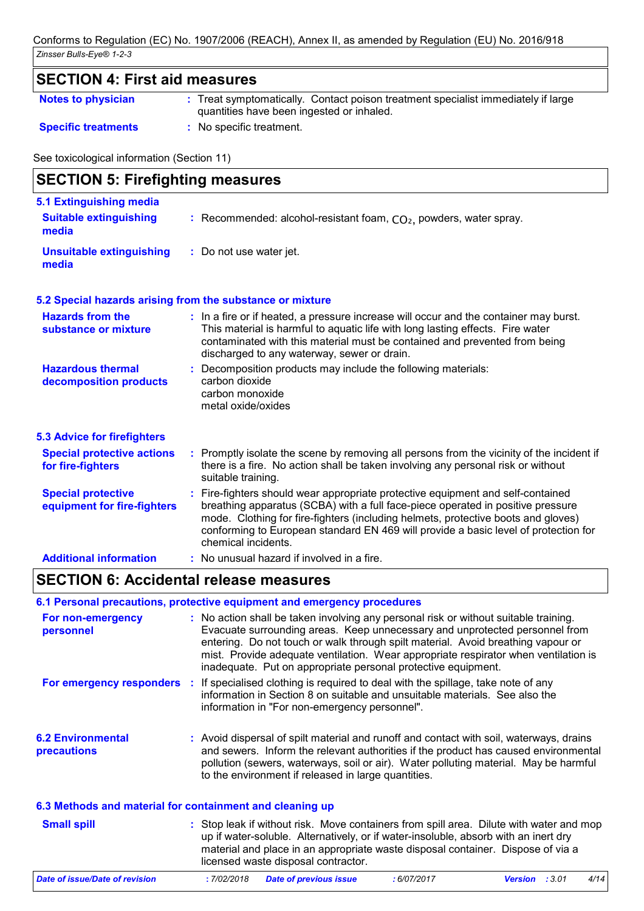| Notes to physician         | : Treat symptomatically. Contact poison treatment specialist immediately if large |
|----------------------------|-----------------------------------------------------------------------------------|
|                            | quantities have been ingested or inhaled.                                         |
| <b>Specific treatments</b> | No specific treatment.                                                            |

See toxicological information (Section 11)

| <b>SECTION 5: Firefighting measures</b>                  |                                                                                                                                                                                                                                                                                                                                                                       |  |  |
|----------------------------------------------------------|-----------------------------------------------------------------------------------------------------------------------------------------------------------------------------------------------------------------------------------------------------------------------------------------------------------------------------------------------------------------------|--|--|
| 5.1 Extinguishing media<br><b>Suitable extinguishing</b> | : Recommended: alcohol-resistant foam, $CO2$ , powders, water spray.                                                                                                                                                                                                                                                                                                  |  |  |
| media                                                    |                                                                                                                                                                                                                                                                                                                                                                       |  |  |
| <b>Unsuitable extinguishing</b><br>media                 | : Do not use water jet.                                                                                                                                                                                                                                                                                                                                               |  |  |
|                                                          | 5.2 Special hazards arising from the substance or mixture                                                                                                                                                                                                                                                                                                             |  |  |
| <b>Hazards from the</b><br>substance or mixture          | : In a fire or if heated, a pressure increase will occur and the container may burst.<br>This material is harmful to aquatic life with long lasting effects. Fire water<br>contaminated with this material must be contained and prevented from being<br>discharged to any waterway, sewer or drain.                                                                  |  |  |
| <b>Hazardous thermal</b><br>decomposition products       | : Decomposition products may include the following materials:<br>carbon dioxide<br>carbon monoxide<br>metal oxide/oxides                                                                                                                                                                                                                                              |  |  |
| <b>5.3 Advice for firefighters</b>                       |                                                                                                                                                                                                                                                                                                                                                                       |  |  |
| <b>Special protective actions</b><br>for fire-fighters   | : Promptly isolate the scene by removing all persons from the vicinity of the incident if<br>there is a fire. No action shall be taken involving any personal risk or without<br>suitable training.                                                                                                                                                                   |  |  |
| <b>Special protective</b><br>equipment for fire-fighters | : Fire-fighters should wear appropriate protective equipment and self-contained<br>breathing apparatus (SCBA) with a full face-piece operated in positive pressure<br>mode. Clothing for fire-fighters (including helmets, protective boots and gloves)<br>conforming to European standard EN 469 will provide a basic level of protection for<br>chemical incidents. |  |  |
| <b>Additional information</b>                            | : No unusual hazard if involved in a fire.                                                                                                                                                                                                                                                                                                                            |  |  |

### **SECTION 6: Accidental release measures**

#### **6.1 Personal precautions, protective equipment and emergency procedures**

| For non-emergency<br>personnel                           | : No action shall be taken involving any personal risk or without suitable training.<br>Evacuate surrounding areas. Keep unnecessary and unprotected personnel from<br>entering. Do not touch or walk through spilt material. Avoid breathing vapour or<br>mist. Provide adequate ventilation. Wear appropriate respirator when ventilation is<br>inadequate. Put on appropriate personal protective equipment. |
|----------------------------------------------------------|-----------------------------------------------------------------------------------------------------------------------------------------------------------------------------------------------------------------------------------------------------------------------------------------------------------------------------------------------------------------------------------------------------------------|
|                                                          | <b>For emergency responders</b> : If specialised clothing is required to deal with the spillage, take note of any<br>information in Section 8 on suitable and unsuitable materials. See also the<br>information in "For non-emergency personnel".                                                                                                                                                               |
| <b>6.2 Environmental</b><br><b>precautions</b>           | : Avoid dispersal of spilt material and runoff and contact with soil, waterways, drains<br>and sewers. Inform the relevant authorities if the product has caused environmental<br>pollution (sewers, waterways, soil or air). Water polluting material. May be harmful<br>to the environment if released in large quantities.                                                                                   |
| 6.3 Methods and material for containment and cleaning up |                                                                                                                                                                                                                                                                                                                                                                                                                 |
| <b>Small spill</b>                                       | : Stop leak if without risk. Move containers from spill area. Dilute with water and mop<br>up if water-soluble. Alternatively, or if water-insoluble, absorb with an inert dry<br>material and place in an appropriate waste disposal container. Dispose of via a<br>licensed waste disposal contractor.                                                                                                        |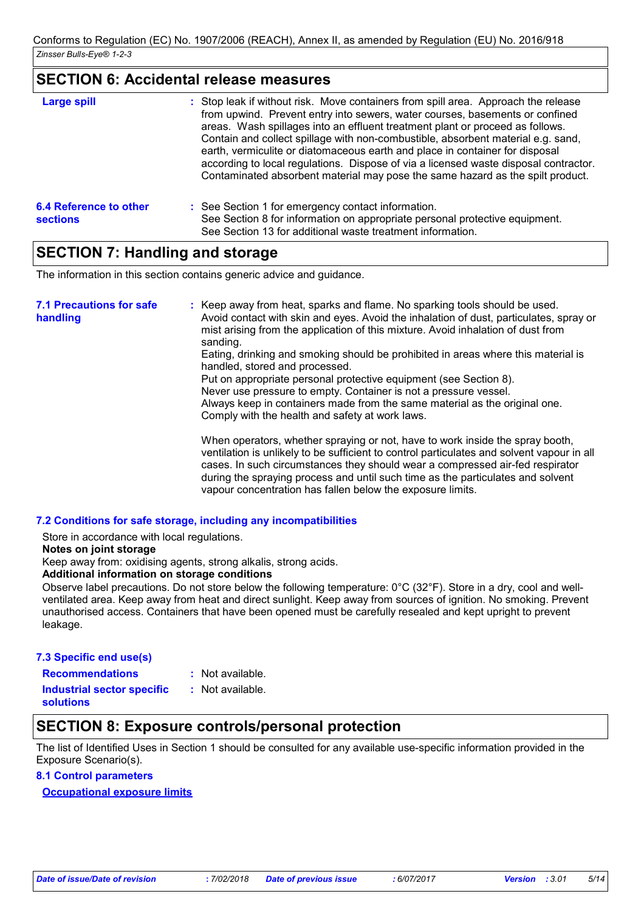### **SECTION 6: Accidental release measures**

| <b>Large spill</b>                        | : Stop leak if without risk. Move containers from spill area. Approach the release<br>from upwind. Prevent entry into sewers, water courses, basements or confined<br>areas. Wash spillages into an effluent treatment plant or proceed as follows.<br>Contain and collect spillage with non-combustible, absorbent material e.g. sand,<br>earth, vermiculite or diatomaceous earth and place in container for disposal<br>according to local regulations. Dispose of via a licensed waste disposal contractor.<br>Contaminated absorbent material may pose the same hazard as the spilt product. |
|-------------------------------------------|---------------------------------------------------------------------------------------------------------------------------------------------------------------------------------------------------------------------------------------------------------------------------------------------------------------------------------------------------------------------------------------------------------------------------------------------------------------------------------------------------------------------------------------------------------------------------------------------------|
| 6.4 Reference to other<br><b>sections</b> | : See Section 1 for emergency contact information.<br>See Section 8 for information on appropriate personal protective equipment.<br>See Section 13 for additional waste treatment information.                                                                                                                                                                                                                                                                                                                                                                                                   |

### **SECTION 7: Handling and storage**

The information in this section contains generic advice and guidance.

| <b>7.1 Precautions for safe</b><br>handling | : Keep away from heat, sparks and flame. No sparking tools should be used.<br>Avoid contact with skin and eyes. Avoid the inhalation of dust, particulates, spray or<br>mist arising from the application of this mixture. Avoid inhalation of dust from<br>sanding.<br>Eating, drinking and smoking should be prohibited in areas where this material is<br>handled, stored and processed.                   |
|---------------------------------------------|---------------------------------------------------------------------------------------------------------------------------------------------------------------------------------------------------------------------------------------------------------------------------------------------------------------------------------------------------------------------------------------------------------------|
|                                             | Put on appropriate personal protective equipment (see Section 8).<br>Never use pressure to empty. Container is not a pressure vessel.<br>Always keep in containers made from the same material as the original one.<br>Comply with the health and safety at work laws.                                                                                                                                        |
|                                             | When operators, whether spraying or not, have to work inside the spray booth,<br>ventilation is unlikely to be sufficient to control particulates and solvent vapour in all<br>cases. In such circumstances they should wear a compressed air-fed respirator<br>during the spraying process and until such time as the particulates and solvent<br>vapour concentration has fallen below the exposure limits. |

#### **7.2 Conditions for safe storage, including any incompatibilities**

Store in accordance with local regulations.

#### **Notes on joint storage**

Keep away from: oxidising agents, strong alkalis, strong acids.

#### **Additional information on storage conditions**

Observe label precautions. Do not store below the following temperature: 0°C (32°F). Store in a dry, cool and wellventilated area. Keep away from heat and direct sunlight. Keep away from sources of ignition. No smoking. Prevent unauthorised access. Containers that have been opened must be carefully resealed and kept upright to prevent leakage.

#### **7.3 Specific end use(s)**

**Recommendations :**

: Not available.

**Industrial sector specific : solutions**

: Not available.

### **SECTION 8: Exposure controls/personal protection**

The list of Identified Uses in Section 1 should be consulted for any available use-specific information provided in the Exposure Scenario(s).

#### **8.1 Control parameters**

**Occupational exposure limits**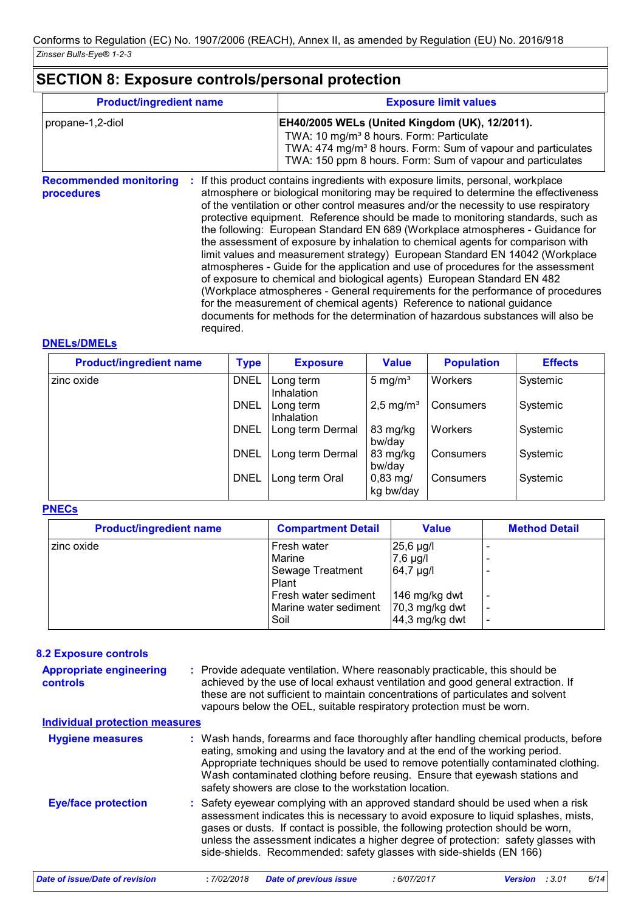# **SECTION 8: Exposure controls/personal protection**

| <b>Product/ingredient name</b>              |  | <b>Exposure limit values</b>                                                                                                                                                                                                                                                                                                                                                                                                                                                                                                                                                                                                                                                                                                                                                                                                                                                                                                                     |  |  |  |
|---------------------------------------------|--|--------------------------------------------------------------------------------------------------------------------------------------------------------------------------------------------------------------------------------------------------------------------------------------------------------------------------------------------------------------------------------------------------------------------------------------------------------------------------------------------------------------------------------------------------------------------------------------------------------------------------------------------------------------------------------------------------------------------------------------------------------------------------------------------------------------------------------------------------------------------------------------------------------------------------------------------------|--|--|--|
| propane-1,2-diol                            |  | EH40/2005 WELs (United Kingdom (UK), 12/2011).<br>TWA: 10 mg/m <sup>3</sup> 8 hours. Form: Particulate<br>TWA: 474 mg/m <sup>3</sup> 8 hours. Form: Sum of vapour and particulates<br>TWA: 150 ppm 8 hours. Form: Sum of vapour and particulates                                                                                                                                                                                                                                                                                                                                                                                                                                                                                                                                                                                                                                                                                                 |  |  |  |
| <b>Recommended monitoring</b><br>procedures |  | If this product contains ingredients with exposure limits, personal, workplace<br>atmosphere or biological monitoring may be required to determine the effectiveness<br>of the ventilation or other control measures and/or the necessity to use respiratory<br>protective equipment. Reference should be made to monitoring standards, such as<br>the following: European Standard EN 689 (Workplace atmospheres - Guidance for<br>the assessment of exposure by inhalation to chemical agents for comparison with<br>limit values and measurement strategy) European Standard EN 14042 (Workplace<br>atmospheres - Guide for the application and use of procedures for the assessment<br>of exposure to chemical and biological agents) European Standard EN 482<br>(Workplace atmospheres - General requirements for the performance of procedures<br>ومسوادات والمستلفين والمتسوم والمتساوي والمستحدث والمستحدث والمستنقذ المستحدث والمستحدث |  |  |  |

for the measurement of chemical agents) Reference to national guidance documents for methods for the determination of hazardous substances will also be required.

#### **DNELs/DMELs**

| <b>Product/ingredient name</b> | <b>Type</b> | <b>Exposure</b>         | <b>Value</b>                   | <b>Population</b> | <b>Effects</b> |
|--------------------------------|-------------|-------------------------|--------------------------------|-------------------|----------------|
| zinc oxide                     | <b>DNEL</b> | Long term<br>Inhalation | 5 mg/ $m3$                     | Workers           | Systemic       |
|                                | <b>DNEL</b> | Long term<br>Inhalation | $2,5$ mg/m <sup>3</sup>        | Consumers         | Systemic       |
|                                | <b>DNEL</b> | Long term Dermal        | 83 mg/kg<br>bw/day             | Workers           | Systemic       |
|                                | <b>DNEL</b> | Long term Dermal        | 83 mg/kg<br>bw/day             | Consumers         | Systemic       |
|                                | <b>DNEL</b> | Long term Oral          | $0,83 \text{ mg}$<br>kg bw/day | Consumers         | Systemic       |

#### **PNECs**

| <b>Product/ingredient name</b> | <b>Compartment Detail</b>                                                                                   | <b>Value</b>                                                                              | <b>Method Detail</b> |
|--------------------------------|-------------------------------------------------------------------------------------------------------------|-------------------------------------------------------------------------------------------|----------------------|
| Izinc oxide                    | Fresh water<br>Marine<br>Sewage Treatment<br>Plant<br>Fresh water sediment<br>Marine water sediment<br>Soil | 25,6 µg/l<br>$7,6$ µg/l<br>64,7 µg/l<br>146 mg/kg dwt<br>70,3 mg/kg dwt<br>44,3 mg/kg dwt | ۰<br>۰               |

#### **8.2 Exposure controls**

| <b>Appropriate engineering</b><br><b>controls</b><br><b>Individual protection measures</b> | : Provide adequate ventilation. Where reasonably practicable, this should be<br>achieved by the use of local exhaust ventilation and good general extraction. If<br>these are not sufficient to maintain concentrations of particulates and solvent<br>vapours below the OEL, suitable respiratory protection must be worn.                                                                                              |
|--------------------------------------------------------------------------------------------|--------------------------------------------------------------------------------------------------------------------------------------------------------------------------------------------------------------------------------------------------------------------------------------------------------------------------------------------------------------------------------------------------------------------------|
| <b>Hygiene measures</b>                                                                    | : Wash hands, forearms and face thoroughly after handling chemical products, before<br>eating, smoking and using the lavatory and at the end of the working period.<br>Appropriate techniques should be used to remove potentially contaminated clothing.<br>Wash contaminated clothing before reusing. Ensure that eyewash stations and<br>safety showers are close to the workstation location.                        |
| <b>Eye/face protection</b>                                                                 | : Safety eyewear complying with an approved standard should be used when a risk<br>assessment indicates this is necessary to avoid exposure to liquid splashes, mists,<br>gases or dusts. If contact is possible, the following protection should be worn,<br>unless the assessment indicates a higher degree of protection: safety glasses with<br>side-shields. Recommended: safety glasses with side-shields (EN 166) |
| Date of issue/Date of revision                                                             | <b>Date of previous issue</b><br>: 3.01<br>:7/02/2018<br>6/14<br>:6/07/2017<br><b>Version</b>                                                                                                                                                                                                                                                                                                                            |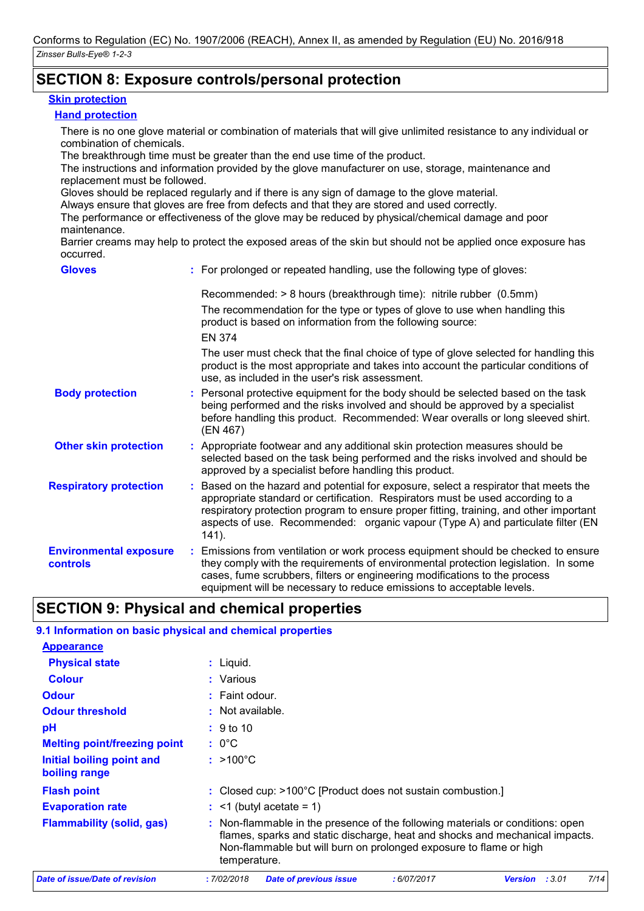### **SECTION 8: Exposure controls/personal protection**

#### **Skin protection**

#### **Hand protection**

There is no one glove material or combination of materials that will give unlimited resistance to any individual or combination of chemicals.

The breakthrough time must be greater than the end use time of the product.

The instructions and information provided by the glove manufacturer on use, storage, maintenance and replacement must be followed.

Gloves should be replaced regularly and if there is any sign of damage to the glove material.

Always ensure that gloves are free from defects and that they are stored and used correctly.

The performance or effectiveness of the glove may be reduced by physical/chemical damage and poor maintenance.

Barrier creams may help to protect the exposed areas of the skin but should not be applied once exposure has occurred.

| <b>Gloves</b>                             | : For prolonged or repeated handling, use the following type of gloves:                                                                                                                                                                                                                                                                                         |
|-------------------------------------------|-----------------------------------------------------------------------------------------------------------------------------------------------------------------------------------------------------------------------------------------------------------------------------------------------------------------------------------------------------------------|
|                                           | Recommended: > 8 hours (breakthrough time): nitrile rubber (0.5mm)<br>The recommendation for the type or types of glove to use when handling this<br>product is based on information from the following source:<br><b>EN 374</b>                                                                                                                                |
|                                           | The user must check that the final choice of type of glove selected for handling this<br>product is the most appropriate and takes into account the particular conditions of<br>use, as included in the user's risk assessment.                                                                                                                                 |
| <b>Body protection</b>                    | : Personal protective equipment for the body should be selected based on the task<br>being performed and the risks involved and should be approved by a specialist<br>before handling this product. Recommended: Wear overalls or long sleeved shirt.<br>(EN 467)                                                                                               |
| <b>Other skin protection</b>              | : Appropriate footwear and any additional skin protection measures should be<br>selected based on the task being performed and the risks involved and should be<br>approved by a specialist before handling this product.                                                                                                                                       |
| <b>Respiratory protection</b>             | : Based on the hazard and potential for exposure, select a respirator that meets the<br>appropriate standard or certification. Respirators must be used according to a<br>respiratory protection program to ensure proper fitting, training, and other important<br>aspects of use. Recommended: organic vapour (Type A) and particulate filter (EN<br>$141$ ). |
| <b>Environmental exposure</b><br>controls | : Emissions from ventilation or work process equipment should be checked to ensure<br>they comply with the requirements of environmental protection legislation. In some<br>cases, fume scrubbers, filters or engineering modifications to the process<br>equipment will be necessary to reduce emissions to acceptable levels.                                 |

### **SECTION 9: Physical and chemical properties**

#### **9.1 Information on basic physical and chemical properties**

| <b>Appearance</b>                          |                                                                                                                                                                                                                                                      |
|--------------------------------------------|------------------------------------------------------------------------------------------------------------------------------------------------------------------------------------------------------------------------------------------------------|
| <b>Physical state</b>                      | $:$ Liquid.                                                                                                                                                                                                                                          |
| <b>Colour</b>                              | : Various                                                                                                                                                                                                                                            |
| <b>Odour</b>                               | $:$ Faint odour.                                                                                                                                                                                                                                     |
| <b>Odour threshold</b>                     | $:$ Not available.                                                                                                                                                                                                                                   |
| pH                                         | $\div$ 9 to 10                                                                                                                                                                                                                                       |
| <b>Melting point/freezing point</b>        | $: 0^{\circ}$ C                                                                                                                                                                                                                                      |
| Initial boiling point and<br>boiling range | $: >100^{\circ}$ C                                                                                                                                                                                                                                   |
| <b>Flash point</b>                         | : Closed cup: >100°C [Product does not sustain combustion.]                                                                                                                                                                                          |
| <b>Evaporation rate</b>                    | $\div$ <1 (butyl acetate = 1)                                                                                                                                                                                                                        |
| <b>Flammability (solid, gas)</b>           | : Non-flammable in the presence of the following materials or conditions: open<br>flames, sparks and static discharge, heat and shocks and mechanical impacts.<br>Non-flammable but will burn on prolonged exposure to flame or high<br>temperature. |
| <b>Date of issue/Date of revision</b>      | 7/14<br>:7/02/2018<br><b>Date of previous issue</b><br>:6/07/2017<br>: 3.01<br><b>Version</b>                                                                                                                                                        |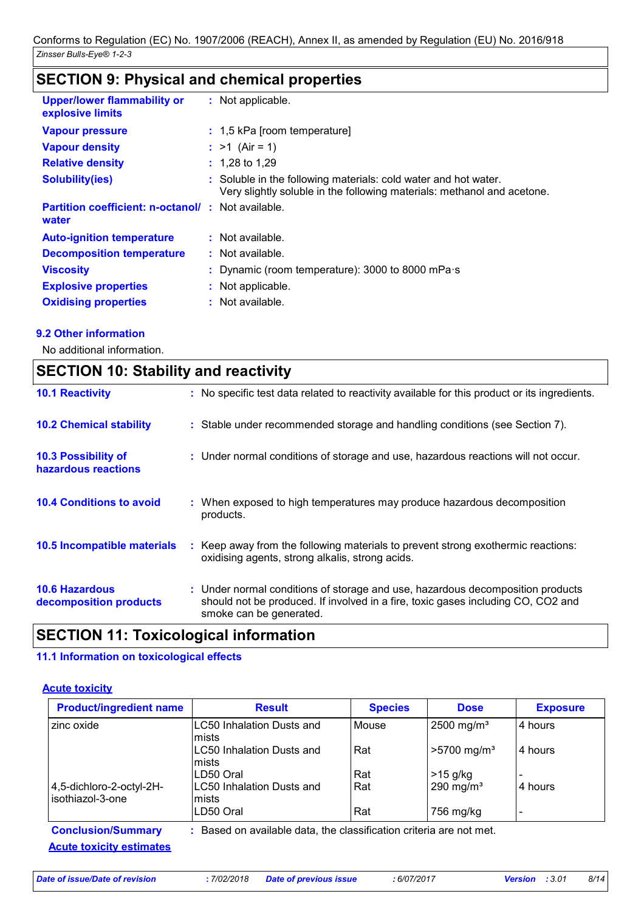# **SECTION 9: Physical and chemical properties**

| <b>Upper/lower flammability or</b><br>explosive limits            | : Not applicable.                                                                                                                          |
|-------------------------------------------------------------------|--------------------------------------------------------------------------------------------------------------------------------------------|
| <b>Vapour pressure</b>                                            | : 1,5 kPa [room temperature]                                                                                                               |
| <b>Vapour density</b>                                             | : $>1$ (Air = 1)                                                                                                                           |
| <b>Relative density</b>                                           | $: 1,28$ to 1,29                                                                                                                           |
| <b>Solubility(ies)</b>                                            | : Soluble in the following materials: cold water and hot water.<br>Very slightly soluble in the following materials: methanol and acetone. |
| <b>Partition coefficient: n-octanol/: Not available.</b><br>water |                                                                                                                                            |
| <b>Auto-ignition temperature</b>                                  | $:$ Not available.                                                                                                                         |
| <b>Decomposition temperature</b>                                  | : Not available.                                                                                                                           |
| <b>Viscosity</b>                                                  | : Dynamic (room temperature): 3000 to 8000 mPa $\cdot$ s                                                                                   |
| <b>Explosive properties</b>                                       | : Not applicable.                                                                                                                          |
| <b>Oxidising properties</b>                                       | : Not available.                                                                                                                           |

#### **9.2 Other information**

 $\mathbf{r}$ 

No additional information.

|                                                   | <b>SECTION 10: Stability and reactivity</b>                                                                                                                                                   |  |  |  |  |
|---------------------------------------------------|-----------------------------------------------------------------------------------------------------------------------------------------------------------------------------------------------|--|--|--|--|
| <b>10.1 Reactivity</b>                            | : No specific test data related to reactivity available for this product or its ingredients.                                                                                                  |  |  |  |  |
| <b>10.2 Chemical stability</b>                    | : Stable under recommended storage and handling conditions (see Section 7).                                                                                                                   |  |  |  |  |
| <b>10.3 Possibility of</b><br>hazardous reactions | : Under normal conditions of storage and use, hazardous reactions will not occur.                                                                                                             |  |  |  |  |
| <b>10.4 Conditions to avoid</b>                   | : When exposed to high temperatures may produce hazardous decomposition<br>products.                                                                                                          |  |  |  |  |
| <b>10.5 Incompatible materials</b>                | : Keep away from the following materials to prevent strong exothermic reactions:<br>oxidising agents, strong alkalis, strong acids.                                                           |  |  |  |  |
| <b>10.6 Hazardous</b><br>decomposition products   | : Under normal conditions of storage and use, hazardous decomposition products<br>should not be produced. If involved in a fire, toxic gases including CO, CO2 and<br>smoke can be generated. |  |  |  |  |

## **SECTION 11: Toxicological information**

#### **11.1 Information on toxicological effects**

#### **Acute toxicity**

| <b>Product/ingredient name</b>              | <b>Result</b>                      | <b>Species</b>                                                      | <b>Dose</b>               | <b>Exposure</b> |  |  |  |  |
|---------------------------------------------|------------------------------------|---------------------------------------------------------------------|---------------------------|-----------------|--|--|--|--|
| zinc oxide                                  | LC50 Inhalation Dusts and<br>mists | Mouse                                                               | 2500 mg/m <sup>3</sup>    | 4 hours         |  |  |  |  |
|                                             | LC50 Inhalation Dusts and<br>mists | Rat                                                                 | $>5700$ mg/m <sup>3</sup> | 4 hours         |  |  |  |  |
|                                             | LD50 Oral                          | Rat                                                                 | $>15$ g/kg                |                 |  |  |  |  |
| 4,5-dichloro-2-octyl-2H-<br>sothiazol-3-one | LC50 Inhalation Dusts and<br>mists | Rat                                                                 | $290$ mg/m <sup>3</sup>   | 4 hours         |  |  |  |  |
|                                             | LD50 Oral                          | Rat                                                                 | 756 mg/kg                 |                 |  |  |  |  |
| <b>Conclusion/Summary</b>                   |                                    | : Based on available data, the classification criteria are not met. |                           |                 |  |  |  |  |
| <b>Acute toxicity estimates</b>             |                                    |                                                                     |                           |                 |  |  |  |  |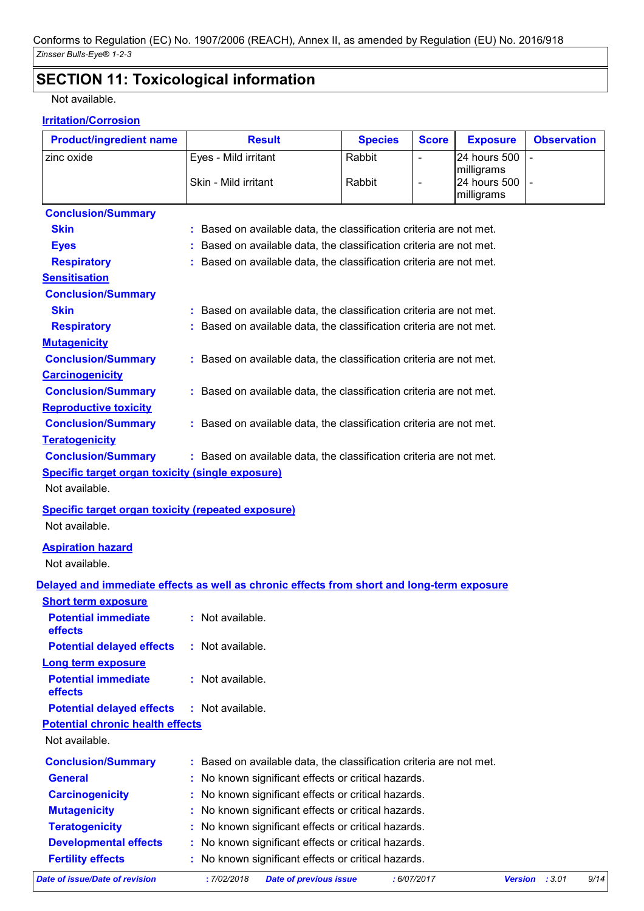# **SECTION 11: Toxicological information**

Not available.

#### **Irritation/Corrosion**

| <b>Product/ingredient name</b>                            | <b>Result</b>                                                                              | <b>Species</b> | <b>Score</b>             | <b>Exposure</b>            | <b>Observation</b>       |      |
|-----------------------------------------------------------|--------------------------------------------------------------------------------------------|----------------|--------------------------|----------------------------|--------------------------|------|
| zinc oxide                                                | Eyes - Mild irritant                                                                       | Rabbit         | $\blacksquare$           | 24 hours 500               |                          |      |
|                                                           | Skin - Mild irritant                                                                       | Rabbit         | $\overline{\phantom{a}}$ | milligrams<br>24 hours 500 |                          |      |
|                                                           |                                                                                            |                |                          | milligrams                 |                          |      |
| <b>Conclusion/Summary</b>                                 |                                                                                            |                |                          |                            |                          |      |
| <b>Skin</b>                                               | : Based on available data, the classification criteria are not met.                        |                |                          |                            |                          |      |
| <b>Eyes</b>                                               | : Based on available data, the classification criteria are not met.                        |                |                          |                            |                          |      |
| <b>Respiratory</b>                                        | : Based on available data, the classification criteria are not met.                        |                |                          |                            |                          |      |
| <b>Sensitisation</b>                                      |                                                                                            |                |                          |                            |                          |      |
| <b>Conclusion/Summary</b>                                 |                                                                                            |                |                          |                            |                          |      |
| <b>Skin</b>                                               | : Based on available data, the classification criteria are not met.                        |                |                          |                            |                          |      |
| <b>Respiratory</b>                                        | : Based on available data, the classification criteria are not met.                        |                |                          |                            |                          |      |
| <b>Mutagenicity</b>                                       |                                                                                            |                |                          |                            |                          |      |
| <b>Conclusion/Summary</b>                                 | : Based on available data, the classification criteria are not met.                        |                |                          |                            |                          |      |
| <b>Carcinogenicity</b>                                    |                                                                                            |                |                          |                            |                          |      |
| <b>Conclusion/Summary</b>                                 | : Based on available data, the classification criteria are not met.                        |                |                          |                            |                          |      |
| <b>Reproductive toxicity</b>                              |                                                                                            |                |                          |                            |                          |      |
| <b>Conclusion/Summary</b>                                 | : Based on available data, the classification criteria are not met.                        |                |                          |                            |                          |      |
| <b>Teratogenicity</b>                                     |                                                                                            |                |                          |                            |                          |      |
| <b>Conclusion/Summary</b>                                 | : Based on available data, the classification criteria are not met.                        |                |                          |                            |                          |      |
| <b>Specific target organ toxicity (single exposure)</b>   |                                                                                            |                |                          |                            |                          |      |
| Not available.                                            |                                                                                            |                |                          |                            |                          |      |
| <b>Specific target organ toxicity (repeated exposure)</b> |                                                                                            |                |                          |                            |                          |      |
| Not available.                                            |                                                                                            |                |                          |                            |                          |      |
| <b>Aspiration hazard</b>                                  |                                                                                            |                |                          |                            |                          |      |
| Not available.                                            |                                                                                            |                |                          |                            |                          |      |
|                                                           | Delayed and immediate effects as well as chronic effects from short and long-term exposure |                |                          |                            |                          |      |
| <b>Short term exposure</b>                                |                                                                                            |                |                          |                            |                          |      |
| <b>Potential immediate</b>                                | : Not available.                                                                           |                |                          |                            |                          |      |
| effects                                                   |                                                                                            |                |                          |                            |                          |      |
| <b>Potential delayed effects</b>                          | : Not available.                                                                           |                |                          |                            |                          |      |
| <b>Long term exposure</b>                                 |                                                                                            |                |                          |                            |                          |      |
| <b>Potential immediate</b>                                | : Not available.                                                                           |                |                          |                            |                          |      |
| effects                                                   |                                                                                            |                |                          |                            |                          |      |
| <b>Potential delayed effects</b>                          | : Not available.                                                                           |                |                          |                            |                          |      |
| <b>Potential chronic health effects</b>                   |                                                                                            |                |                          |                            |                          |      |
| Not available.                                            |                                                                                            |                |                          |                            |                          |      |
| <b>Conclusion/Summary</b>                                 | : Based on available data, the classification criteria are not met.                        |                |                          |                            |                          |      |
| <b>General</b>                                            | : No known significant effects or critical hazards.                                        |                |                          |                            |                          |      |
| <b>Carcinogenicity</b>                                    | No known significant effects or critical hazards.                                          |                |                          |                            |                          |      |
| <b>Mutagenicity</b>                                       | No known significant effects or critical hazards.                                          |                |                          |                            |                          |      |
| <b>Teratogenicity</b>                                     | : No known significant effects or critical hazards.                                        |                |                          |                            |                          |      |
| <b>Developmental effects</b>                              | : No known significant effects or critical hazards.                                        |                |                          |                            |                          |      |
| <b>Fertility effects</b>                                  | : No known significant effects or critical hazards.                                        |                |                          |                            |                          |      |
| <b>Date of issue/Date of revision</b>                     | : 7/02/2018<br><b>Date of previous issue</b>                                               |                | : 6/07/2017              |                            | <b>Version</b><br>: 3.01 | 9/14 |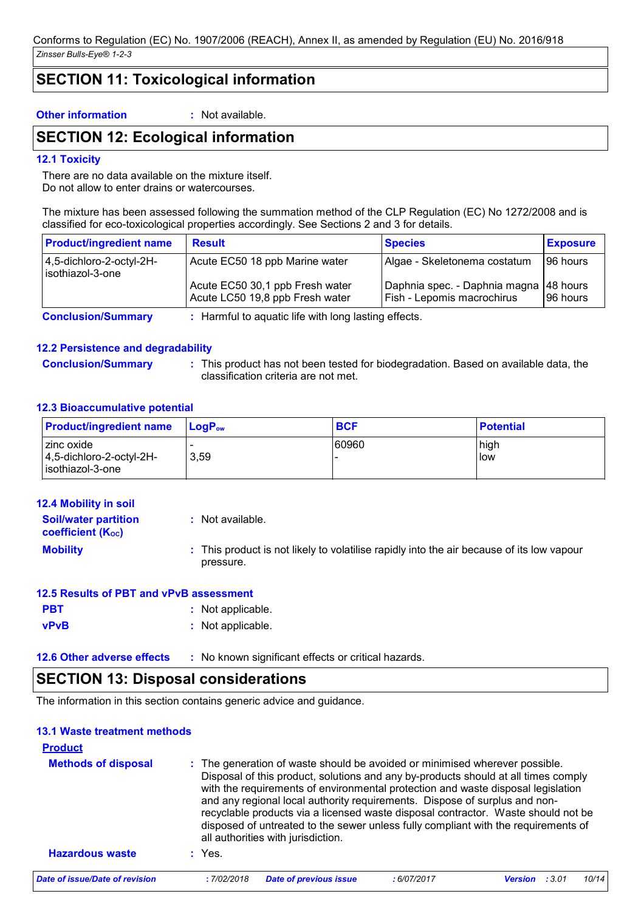### **SECTION 11: Toxicological information**

**Other information :** Not available.

### **SECTION 12: Ecological information**

#### **12.1 Toxicity**

There are no data available on the mixture itself. Do not allow to enter drains or watercourses.

The mixture has been assessed following the summation method of the CLP Regulation (EC) No 1272/2008 and is classified for eco-toxicological properties accordingly. See Sections 2 and 3 for details.

| <b>Product/ingredient name</b>              | <b>Result</b>                                                       | <b>Species</b>                                                         | <b>Exposure</b> |
|---------------------------------------------|---------------------------------------------------------------------|------------------------------------------------------------------------|-----------------|
| 4,5-dichloro-2-octyl-2H-<br>sothiazol-3-one | Acute EC50 18 ppb Marine water                                      | Algae - Skeletonema costatum                                           | 196 hours       |
|                                             | Acute EC50 30,1 ppb Fresh water<br>Acute LC50 19,8 ppb Fresh water  | Daphnia spec. - Daphnia magna   48 hours<br>Fish - Lepomis macrochirus | 196 hours       |
| Association IA consideration                | i - I I amerikal da izan zauta 1964 zauta hamar handin era 1964 eta |                                                                        |                 |

**Conclusion/Summary :** Harmful to aquatic life with long lasting effects.

#### **12.2 Persistence and degradability**

**Conclusion/Summary :** This product has not been tested for biodegradation. Based on available data, the classification criteria are not met.

#### **12.3 Bioaccumulative potential**

| <b>Product/ingredient name</b>                                     | $\mathsf{LoaP}_\mathsf{ow}$ | <b>BCF</b> | <b>Potential</b> |
|--------------------------------------------------------------------|-----------------------------|------------|------------------|
| l zinc oxide<br>$ 4,5$ -dichloro-2-octyl-2H-<br>l isothiazol-3-one | 3.59                        | 60960      | high<br>llow     |

| <b>Soil/water partition</b><br>coefficient $(K_{oc})$ | : Not available.                                                                                       |
|-------------------------------------------------------|--------------------------------------------------------------------------------------------------------|
| <b>Mobility</b>                                       | : This product is not likely to volatilise rapidly into the air because of its low vapour<br>pressure. |

#### **12.5 Results of PBT and vPvB assessment**

| <b>PBT</b>  | : Not applicable. |
|-------------|-------------------|
| <b>vPvB</b> | : Not applicable. |

**12.6 Other adverse effects** : No known significant effects or critical hazards.

### **SECTION 13: Disposal considerations**

The information in this section contains generic advice and guidance.

### **13.1 Waste treatment methods**

| <b>Product</b><br><b>Methods of disposal</b> |            | : The generation of waste should be avoided or minimised wherever possible.<br>Disposal of this product, solutions and any by-products should at all times comply<br>with the requirements of environmental protection and waste disposal legislation<br>and any regional local authority requirements. Dispose of surplus and non- |             |                |       |       |
|----------------------------------------------|------------|-------------------------------------------------------------------------------------------------------------------------------------------------------------------------------------------------------------------------------------------------------------------------------------------------------------------------------------|-------------|----------------|-------|-------|
| <b>Hazardous waste</b>                       | $:$ Yes.   | recyclable products via a licensed waste disposal contractor. Waste should not be<br>disposed of untreated to the sewer unless fully compliant with the requirements of<br>all authorities with jurisdiction.                                                                                                                       |             |                |       |       |
| Date of issue/Date of revision               | :7/02/2018 | <b>Date of previous issue</b>                                                                                                                                                                                                                                                                                                       | : 6/07/2017 | <b>Version</b> | :3.01 | 10/14 |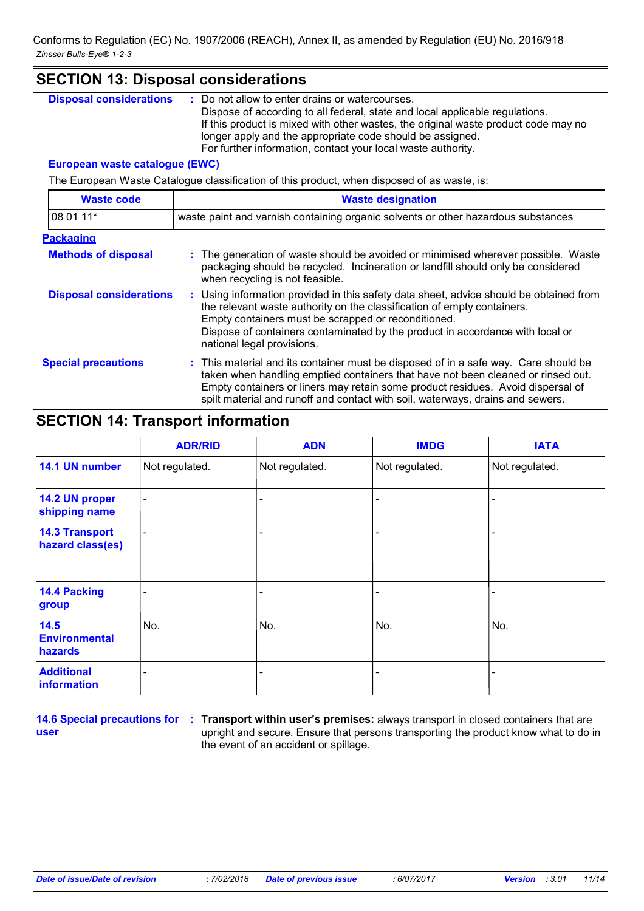| <b>SECTION 13: Disposal considerations</b> |                                                                                                                                                                                                                                                                                                                                                    |  |  |
|--------------------------------------------|----------------------------------------------------------------------------------------------------------------------------------------------------------------------------------------------------------------------------------------------------------------------------------------------------------------------------------------------------|--|--|
| <b>Disposal considerations</b>             | : Do not allow to enter drains or watercourses.<br>Dispose of according to all federal, state and local applicable regulations.<br>If this product is mixed with other wastes, the original waste product code may no<br>longer apply and the appropriate code should be assigned.<br>For further information, contact your local waste authority. |  |  |
| <b>European waste catalogue (EWC)</b>      |                                                                                                                                                                                                                                                                                                                                                    |  |  |
|                                            | The European Waste Catalogue classification of this product, when disposed of as waste, is:                                                                                                                                                                                                                                                        |  |  |
| <b>Waste code</b>                          | <b>Waste designation</b>                                                                                                                                                                                                                                                                                                                           |  |  |
| 08 01 11*                                  | waste paint and varnish containing organic solvents or other hazardous substances                                                                                                                                                                                                                                                                  |  |  |
| <b>Packaging</b>                           |                                                                                                                                                                                                                                                                                                                                                    |  |  |
| <b>Methods of disposal</b>                 | : The generation of waste should be avoided or minimised wherever possible. Waste<br>packaging should be recycled. Incineration or landfill should only be considered<br>when recycling is not feasible.                                                                                                                                           |  |  |
| <b>Disposal considerations</b>             | : Using information provided in this safety data sheet, advice should be obtained from<br>the relevant waste authority on the classification of empty containers.<br>Empty containers must be scrapped or reconditioned.<br>Dispose of containers contaminated by the product in accordance with local or<br>national legal provisions.            |  |  |

**Special precautions :** This material and its container must be disposed of in a safe way. Care should be taken when handling emptied containers that have not been cleaned or rinsed out. Empty containers or liners may retain some product residues. Avoid dispersal of spilt material and runoff and contact with soil, waterways, drains and sewers.

### **SECTION 14: Transport information**

|                                           | <b>ADR/RID</b> | <b>ADN</b>     | <b>IMDG</b>    | <b>IATA</b>    |
|-------------------------------------------|----------------|----------------|----------------|----------------|
| 14.1 UN number                            | Not regulated. | Not regulated. | Not regulated. | Not regulated. |
| 14.2 UN proper<br>shipping name           | -              |                |                |                |
| <b>14.3 Transport</b><br>hazard class(es) | -              |                |                |                |
| <b>14.4 Packing</b><br>group              |                |                |                |                |
| 14.5<br><b>Environmental</b><br>hazards   | No.            | No.            | No.            | No.            |
| <b>Additional</b><br>information          |                |                |                |                |

**user**

**14.6 Special precautions for : Transport within user's premises:** always transport in closed containers that are upright and secure. Ensure that persons transporting the product know what to do in the event of an accident or spillage.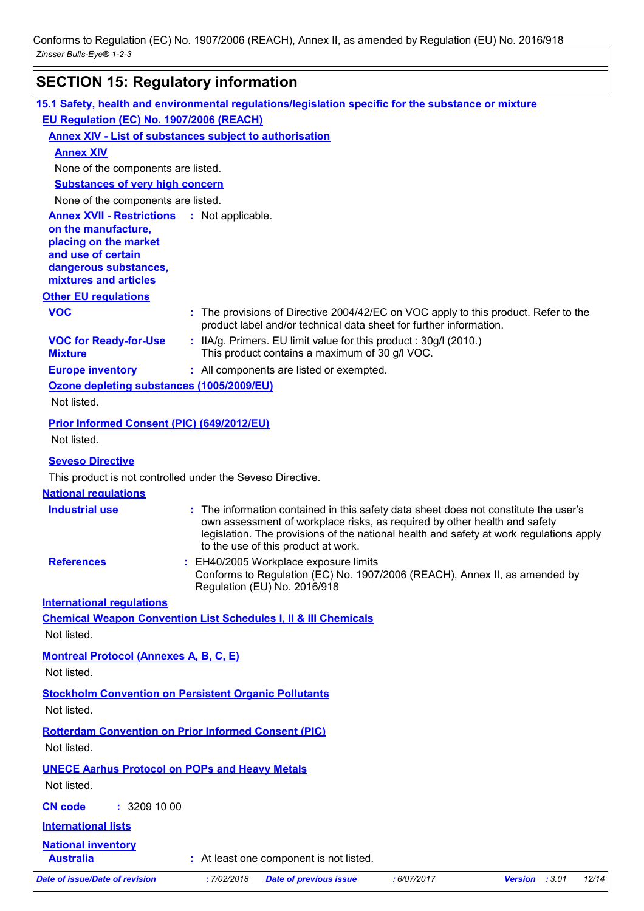# **SECTION 15: Regulatory information**

| 15.1 Safety, health and environmental regulations/legislation specific for the substance or mixture                                                      |                   |                                                                                                                                                                                                                                                                                                     |             |                |       |
|----------------------------------------------------------------------------------------------------------------------------------------------------------|-------------------|-----------------------------------------------------------------------------------------------------------------------------------------------------------------------------------------------------------------------------------------------------------------------------------------------------|-------------|----------------|-------|
| EU Regulation (EC) No. 1907/2006 (REACH)                                                                                                                 |                   |                                                                                                                                                                                                                                                                                                     |             |                |       |
| <b>Annex XIV - List of substances subject to authorisation</b>                                                                                           |                   |                                                                                                                                                                                                                                                                                                     |             |                |       |
| <b>Annex XIV</b>                                                                                                                                         |                   |                                                                                                                                                                                                                                                                                                     |             |                |       |
| None of the components are listed.                                                                                                                       |                   |                                                                                                                                                                                                                                                                                                     |             |                |       |
| <b>Substances of very high concern</b>                                                                                                                   |                   |                                                                                                                                                                                                                                                                                                     |             |                |       |
| None of the components are listed.                                                                                                                       |                   |                                                                                                                                                                                                                                                                                                     |             |                |       |
| <b>Annex XVII - Restrictions</b><br>on the manufacture,<br>placing on the market<br>and use of certain<br>dangerous substances,<br>mixtures and articles | : Not applicable. |                                                                                                                                                                                                                                                                                                     |             |                |       |
| <b>Other EU regulations</b>                                                                                                                              |                   |                                                                                                                                                                                                                                                                                                     |             |                |       |
| <b>VOC</b>                                                                                                                                               |                   | : The provisions of Directive 2004/42/EC on VOC apply to this product. Refer to the<br>product label and/or technical data sheet for further information.                                                                                                                                           |             |                |       |
| <b>VOC for Ready-for-Use</b><br><b>Mixture</b>                                                                                                           |                   | : IIA/g. Primers. EU limit value for this product: 30g/l (2010.)<br>This product contains a maximum of 30 g/l VOC.                                                                                                                                                                                  |             |                |       |
| <b>Europe inventory</b>                                                                                                                                  |                   | : All components are listed or exempted.                                                                                                                                                                                                                                                            |             |                |       |
| Ozone depleting substances (1005/2009/EU)<br>Not listed.                                                                                                 |                   |                                                                                                                                                                                                                                                                                                     |             |                |       |
| Prior Informed Consent (PIC) (649/2012/EU)                                                                                                               |                   |                                                                                                                                                                                                                                                                                                     |             |                |       |
| Not listed.                                                                                                                                              |                   |                                                                                                                                                                                                                                                                                                     |             |                |       |
| <b>Seveso Directive</b>                                                                                                                                  |                   |                                                                                                                                                                                                                                                                                                     |             |                |       |
| This product is not controlled under the Seveso Directive.                                                                                               |                   |                                                                                                                                                                                                                                                                                                     |             |                |       |
| <b>National regulations</b>                                                                                                                              |                   |                                                                                                                                                                                                                                                                                                     |             |                |       |
| <b>Industrial use</b>                                                                                                                                    |                   | : The information contained in this safety data sheet does not constitute the user's<br>own assessment of workplace risks, as required by other health and safety<br>legislation. The provisions of the national health and safety at work regulations apply<br>to the use of this product at work. |             |                |       |
| <b>References</b>                                                                                                                                        |                   | EH40/2005 Workplace exposure limits<br>Conforms to Regulation (EC) No. 1907/2006 (REACH), Annex II, as amended by<br>Regulation (EU) No. 2016/918                                                                                                                                                   |             |                |       |
| <b>International requlations</b>                                                                                                                         |                   |                                                                                                                                                                                                                                                                                                     |             |                |       |
| <b>Chemical Weapon Convention List Schedules I, II &amp; III Chemicals</b><br>Not listed.                                                                |                   |                                                                                                                                                                                                                                                                                                     |             |                |       |
| <b>Montreal Protocol (Annexes A, B, C, E)</b><br>Not listed.                                                                                             |                   |                                                                                                                                                                                                                                                                                                     |             |                |       |
| <b>Stockholm Convention on Persistent Organic Pollutants</b><br>Not listed.                                                                              |                   |                                                                                                                                                                                                                                                                                                     |             |                |       |
| <b>Rotterdam Convention on Prior Informed Consent (PIC)</b><br>Not listed.                                                                               |                   |                                                                                                                                                                                                                                                                                                     |             |                |       |
| <b>UNECE Aarhus Protocol on POPs and Heavy Metals</b>                                                                                                    |                   |                                                                                                                                                                                                                                                                                                     |             |                |       |
| Not listed.                                                                                                                                              |                   |                                                                                                                                                                                                                                                                                                     |             |                |       |
| <b>CN code</b><br>: 3209100                                                                                                                              |                   |                                                                                                                                                                                                                                                                                                     |             |                |       |
| <b>International lists</b>                                                                                                                               |                   |                                                                                                                                                                                                                                                                                                     |             |                |       |
| <b>National inventory</b><br><b>Australia</b>                                                                                                            |                   | : At least one component is not listed.                                                                                                                                                                                                                                                             |             |                |       |
| <b>Date of issue/Date of revision</b>                                                                                                                    | : 7/02/2018       | <b>Date of previous issue</b>                                                                                                                                                                                                                                                                       | : 6/07/2017 | Version : 3.01 | 12/14 |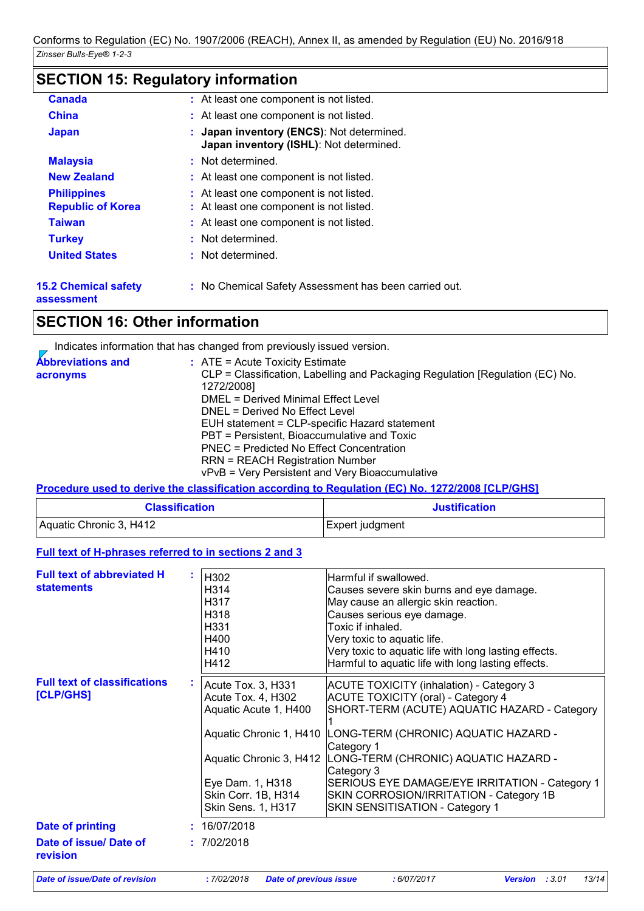# **SECTION 15: Regulatory information**

| <b>Canada</b>                                  | : At least one component is not listed.                                              |
|------------------------------------------------|--------------------------------------------------------------------------------------|
| <b>China</b>                                   | : At least one component is not listed.                                              |
| <b>Japan</b>                                   | : Japan inventory (ENCS): Not determined.<br>Japan inventory (ISHL): Not determined. |
| <b>Malaysia</b>                                | : Not determined.                                                                    |
| <b>New Zealand</b>                             | : At least one component is not listed.                                              |
| <b>Philippines</b><br><b>Republic of Korea</b> | : At least one component is not listed.<br>: At least one component is not listed.   |
| <b>Taiwan</b>                                  | : At least one component is not listed.                                              |
| <b>Turkey</b>                                  | : Not determined.                                                                    |
| <b>United States</b>                           | : Not determined.                                                                    |
| <b>15.2 Chemical safety</b>                    | : No Chemical Safety Assessment has been carried out.                                |

**assessment**

### **SECTION 16: Other information**

Indicates information that has changed from previously issued version.

| <b>Abbreviations and</b> | : ATE = Acute Toxicity Estimate                                               |
|--------------------------|-------------------------------------------------------------------------------|
| acronyms                 | CLP = Classification, Labelling and Packaging Regulation [Regulation (EC) No. |
|                          | 1272/2008]                                                                    |
|                          | DMEL = Derived Minimal Effect Level                                           |
|                          | DNEL = Derived No Effect Level                                                |
|                          | EUH statement = CLP-specific Hazard statement                                 |
|                          | PBT = Persistent, Bioaccumulative and Toxic                                   |
|                          | PNEC = Predicted No Effect Concentration                                      |
|                          | <b>RRN = REACH Registration Number</b>                                        |
|                          | vPvB = Very Persistent and Very Bioaccumulative                               |

#### **Procedure used to derive the classification according to Regulation (EC) No. 1272/2008 [CLP/GHS]**

| <b>Classification</b>   | <b>Justification</b> |
|-------------------------|----------------------|
| Aquatic Chronic 3, H412 | Expert judgment      |

#### **Full text of H-phrases referred to in sections 2 and 3**

| <b>Full text of abbreviated H</b><br><b>statements</b> | H302<br>H314<br>H317<br>H318<br>H331<br>H400<br>H410<br>H412                                                                                                                                    | Harmful if swallowed.<br>Causes severe skin burns and eye damage.<br>May cause an allergic skin reaction.<br>Causes serious eye damage.<br>Toxic if inhaled.<br>Very toxic to aquatic life.<br>Very toxic to aquatic life with long lasting effects.<br>Harmful to aquatic life with long lasting effects.                                                                        |
|--------------------------------------------------------|-------------------------------------------------------------------------------------------------------------------------------------------------------------------------------------------------|-----------------------------------------------------------------------------------------------------------------------------------------------------------------------------------------------------------------------------------------------------------------------------------------------------------------------------------------------------------------------------------|
| <b>Full text of classifications</b><br>[CLP/GHS]       | Acute Tox. 3, H331<br>Acute Tox. 4, H302<br>Aquatic Acute 1, H400<br>Aquatic Chronic 1, H410<br>Aquatic Chronic 3, H412<br>Eye Dam. 1, H318<br>Skin Corr. 1B, H314<br><b>Skin Sens. 1, H317</b> | ACUTE TOXICITY (inhalation) - Category 3<br><b>ACUTE TOXICITY (oral) - Category 4</b><br>SHORT-TERM (ACUTE) AQUATIC HAZARD - Category<br>LONG-TERM (CHRONIC) AQUATIC HAZARD -<br>Category 1<br>LONG-TERM (CHRONIC) AQUATIC HAZARD -<br>Category 3<br>SERIOUS EYE DAMAGE/EYE IRRITATION - Category 1<br>SKIN CORROSION/IRRITATION - Category 1B<br>SKIN SENSITISATION - Category 1 |
| <b>Date of printing</b>                                | 16/07/2018                                                                                                                                                                                      |                                                                                                                                                                                                                                                                                                                                                                                   |
| Date of issue/ Date of<br>revision                     | : 7/02/2018                                                                                                                                                                                     |                                                                                                                                                                                                                                                                                                                                                                                   |